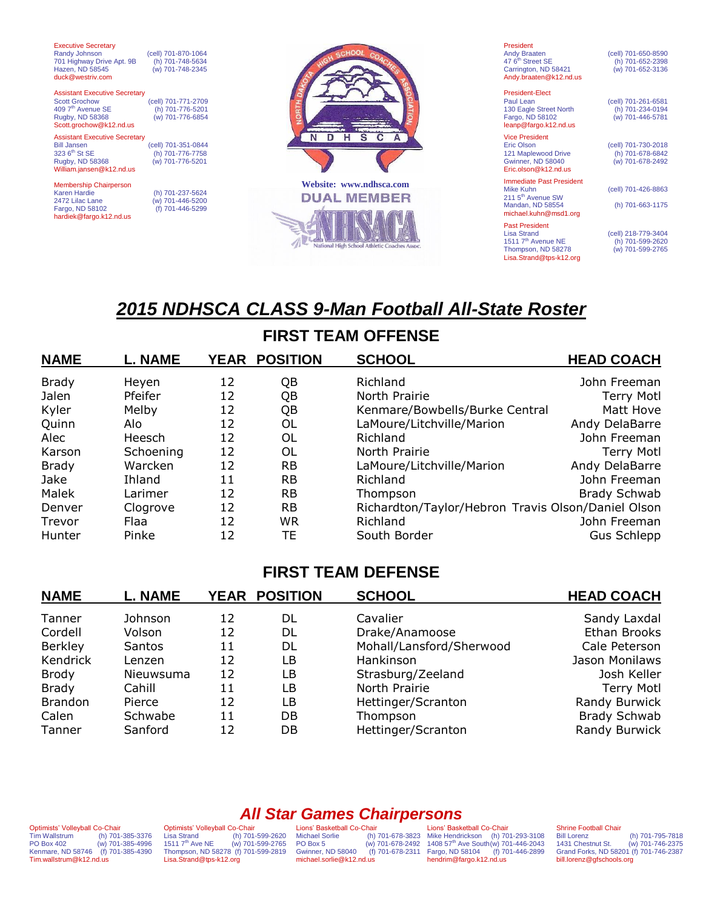| <b>Executive Secretary</b><br>Randy Johnson<br>(cell) 701-870-1064<br>701 Highway Drive Apt. 9B<br>(h) 701-748-5634<br>(w) 701-748-2345<br>Hazen, ND 58545<br>duck@westriv.com                             |                                               | President<br>Andy Braaten<br>47 6 <sup>th</sup> Street SE<br>Carrington, ND 58421<br>Andy.braaten@k12.nd.us                | (cell) 701-650-8590<br>(h) 701-652-2398<br>(w) 701-652-3136 |
|------------------------------------------------------------------------------------------------------------------------------------------------------------------------------------------------------------|-----------------------------------------------|----------------------------------------------------------------------------------------------------------------------------|-------------------------------------------------------------|
| <b>Assistant Executive Secretary</b><br><b>Scott Grochow</b><br>(cell) 701-771-2709<br>409 7 <sup>th</sup> Avenue SE<br>(h) 701-776-5201<br>Rugby, ND 58368<br>(w) 701-776-6854<br>Scott.grochow@k12.nd.us | $\overline{\phantom{a}}$                      | <b>President-Elect</b><br>Paul Lean<br>130 Eagle Street North<br>Fargo, ND 58102<br>leanp@fargo.k12.nd.us                  | (cell) 701-261-6581<br>(h) 701-234-0194<br>(w) 701-446-5781 |
| <b>Assistant Executive Secretary</b><br>(cell) 701-351-0844<br><b>Bill Jansen</b><br>323 6 <sup>th</sup> St SE<br>(h) 701-776-7758<br>Rugby, ND 58368<br>(w) 701-776-5201<br>William.jansen@k12.nd.us      |                                               | <b>Vice President</b><br><b>Eric Olson</b><br>121 Maplewood Drive<br><b>Gwinner, ND 58040</b><br>Eric.olson@k12.nd.us      | (cell) 701-730-2018<br>(h) 701-678-6842<br>(w) 701-678-2492 |
| <b>Membership Chairperson</b><br>Karen Hardie<br>(h) 701-237-5624<br>2472 Lilac Lane<br>(w) 701-446-5200<br>Fargo, ND 58102<br>(f) 701-446-5299<br>hardiek@fargo.k12.nd.us                                 | Website: www.ndhsca.com<br><b>DUAL MEMBER</b> | <b>Immediate Past President</b><br>Mike Kuhn<br>211 5 <sup>th</sup> Avenue SW<br>Mandan, ND 58554<br>michael.kuhn@msd1.org | (cell) 701-426-8863<br>(h) 701-663-1175                     |

 $A^2$ 

Past President<br>Lisa Strand 1511 7th Avenue NE (h) 701-599-2620 Thompson, ND 58278 (w) 701-599-2765 [Lisa.Strand@tps-k12.org](mailto:Lisa.Strand@tps-k12.org)

 $701 - 663 - 1175$ 

(cell) 218-779-3404<br>
(h) 701-599-2620<br>
(w) 701-599-2765

# *2015 NDHSCA CLASS 9-Man Football All-State Roster*

## **FIRST TEAM OFFENSE**

| <b>NAME</b>  | <b>L. NAME</b> |    | YEAR POSITION | <b>SCHOOL</b>                                      | <b>HEAD COACH</b> |
|--------------|----------------|----|---------------|----------------------------------------------------|-------------------|
| <b>Brady</b> | Heyen          | 12 | QΒ            | Richland                                           | John Freeman      |
| Jalen        | Pfeifer        | 12 | QB            | North Prairie                                      | <b>Terry Motl</b> |
| Kyler        | Melby          | 12 | QB            | Kenmare/Bowbells/Burke Central                     | Matt Hove         |
| Quinn        | Alo            | 12 | 0L            | LaMoure/Litchville/Marion                          | Andy DelaBarre    |
| Alec         | Heesch         | 12 | OL            | Richland                                           | John Freeman      |
| Karson       | Schoening      | 12 | OL            | North Prairie                                      | <b>Terry Motl</b> |
| <b>Brady</b> | Warcken        | 12 | <b>RB</b>     | LaMoure/Litchville/Marion                          | Andy DelaBarre    |
| Jake         | Ihland         | 11 | <b>RB</b>     | Richland                                           | John Freeman      |
| Malek        | Larimer        | 12 | <b>RB</b>     | Thompson                                           | Brady Schwab      |
| Denver       | Clogrove       | 12 | <b>RB</b>     | Richardton/Taylor/Hebron Travis Olson/Daniel Olson |                   |
| Trevor       | Flaa           | 12 | <b>WR</b>     | Richland                                           | John Freeman      |
| Hunter       | Pinke          | 12 | ТE            | South Border                                       | Gus Schlepp       |

#### **FIRST TEAM DEFENSE**

| <b>NAME</b>    | <b>L. NAME</b> |    | <b>YEAR POSITION</b> | <b>SCHOOL</b>            | <b>HEAD COACH</b> |
|----------------|----------------|----|----------------------|--------------------------|-------------------|
| Tanner         | Johnson        | 12 | DL                   | Cavalier                 | Sandy Laxdal      |
| Cordell        | Volson         | 12 | DL                   | Drake/Anamoose           | Ethan Brooks      |
| Berkley        | <b>Santos</b>  | 11 | DL                   | Mohall/Lansford/Sherwood | Cale Peterson     |
| Kendrick       | Lenzen         | 12 | LВ                   | Hankinson                | Jason Monilaws    |
| <b>Brody</b>   | Nieuwsuma      | 12 | LB                   | Strasburg/Zeeland        | Josh Keller       |
| <b>Brady</b>   | Cahill         | 11 | LВ                   | North Prairie            | <b>Terry Motl</b> |
| <b>Brandon</b> | Pierce         | 12 | LВ                   | Hettinger/Scranton       | Randy Burwick     |
| Calen          | Schwabe        | 11 | DB                   | Thompson                 | Brady Schwab      |
| Tanner         | Sanford        | 12 | DB                   | Hettinger/Scranton       | Randy Burwick     |

## *All Star Games Chairpersons*

Optimists' Volleyball Co-Chair Tim Wallstrum (h) 701-385-3376 PO Box 402 (w) 701-385-4996 Kenmare, ND 58746 (f) 701-385-4390 Tim.wallstrum@k12.nd.us

Optimists' Volleyball Co-Chair<br>Lisa Strand (h) 701 Lisa Strand (h) 701-599-2620 1511 7th Ave NE (w) 701-599-2765 Thompson, ND 58278 (f) 701-599-2819 [Lisa.Strand@tps-k12.org](mailto:Lisa.Strand@tps-k12.org)

Lions' Basketball Co-Chair<br>Michael Sorlie (h)<br>PO Box 5 (w) Gwinner, ND 58040 michael.sorlie@k12.nd.us

Michael Sorlie (h) 701-678-3823 PO Box 5 (w) 701-678-2492 Mike Hendrickson (h) 701-293-3108 1408 57th Ave South(w) 701-446-2043 Fargo, ND 58104 (f) 701-446-2899 hendrim@fargo.k12.nd.us Lions' Basketball Co-Chair

### Shrine Football Chair<br>Bill Lorenz

Bill Lorenz (h) 701-795-7818<br>1431 Chestnut St. (w) 701-746-2375 1431 Chestnut St. (w) 701-746-2375 Grand Forks, ND 58201 (f) 701-746-2387 bill.lorenz@gfschools.org